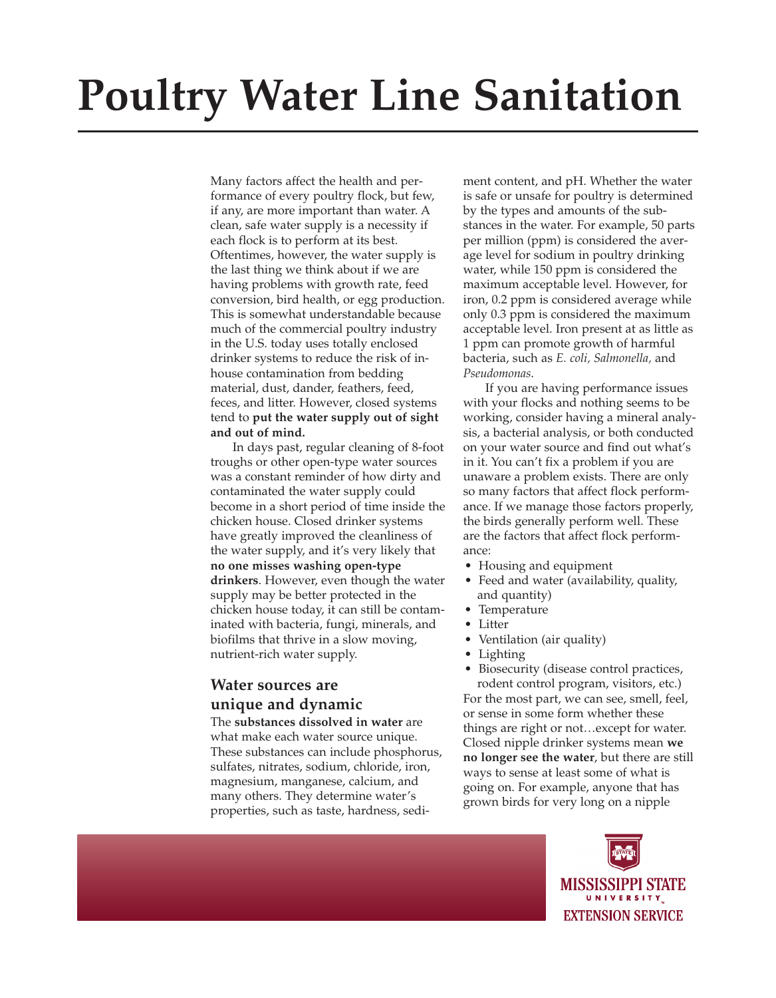# **Poultry Water Line Sanitation**

Many factors affect the health and performance of every poultry flock, but few, if any, are more important than water. A clean, safe water supply is a necessity if each flock is to perform at its best. Oftentimes, however, the water supply is the last thing we think about if we are having problems with growth rate, feed conversion, bird health, or egg production. This is somewhat understandable because much of the commercial poultry industry in the U.S. today uses totally enclosed drinker systems to reduce the risk of inhouse contamination from bedding material, dust, dander, feathers, feed, feces, and litter. However, closed systems tend to **put the water supply out of sight and out of mind.**

In days past, regular cleaning of 8-foot troughs or other open-type water sources was a constant reminder of how dirty and contaminated the water supply could become in a short period of time inside the chicken house. Closed drinker systems have greatly improved the cleanliness of the water supply, and it's very likely that **no one misses washing open-type drinkers**. However, even though the water supply may be better protected in the chicken house today, it can still be contaminated with bacteria, fungi, minerals, and biofilms that thrive in a slow moving, nutrient-rich water supply.

## **Water sources are unique and dynamic**

The **substances dissolved in water** are what make each water source unique. These substances can include phosphorus, sulfates, nitrates, sodium, chloride, iron, magnesium, manganese, calcium, and many others. They determine water's properties, such as taste, hardness, sediment content, and pH. Whether the water is safe or unsafe for poultry is determined by the types and amounts of the substances in the water. For example, 50 parts per million (ppm) is considered the average level for sodium in poultry drinking water, while 150 ppm is considered the maximum acceptable level. However, for iron, 0.2 ppm is considered average while only 0.3 ppm is considered the maximum acceptable level. Iron present at as little as 1 ppm can promote growth of harmful bacteria, such as *E. coli, Salmonella,* and *Pseudomonas*.

If you are having performance issues with your flocks and nothing seems to be working, consider having a mineral analysis, a bacterial analysis, or both conducted on your water source and find out what's in it. You can't fix a problem if you are unaware a problem exists. There are only so many factors that affect flock performance. If we manage those factors properly, the birds generally perform well. These are the factors that affect flock performance:

- Housing and equipment
- Feed and water (availability, quality, and quantity)
- Temperature
- Litter
	- Ventilation (air quality)
	- **Lighting**

• Biosecurity (disease control practices, rodent control program, visitors, etc.) For the most part, we can see, smell, feel, or sense in some form whether these things are right or not…except for water. Closed nipple drinker systems mean **we no longer see the water**, but there are still ways to sense at least some of what is going on. For example, anyone that has grown birds for very long on a nipple

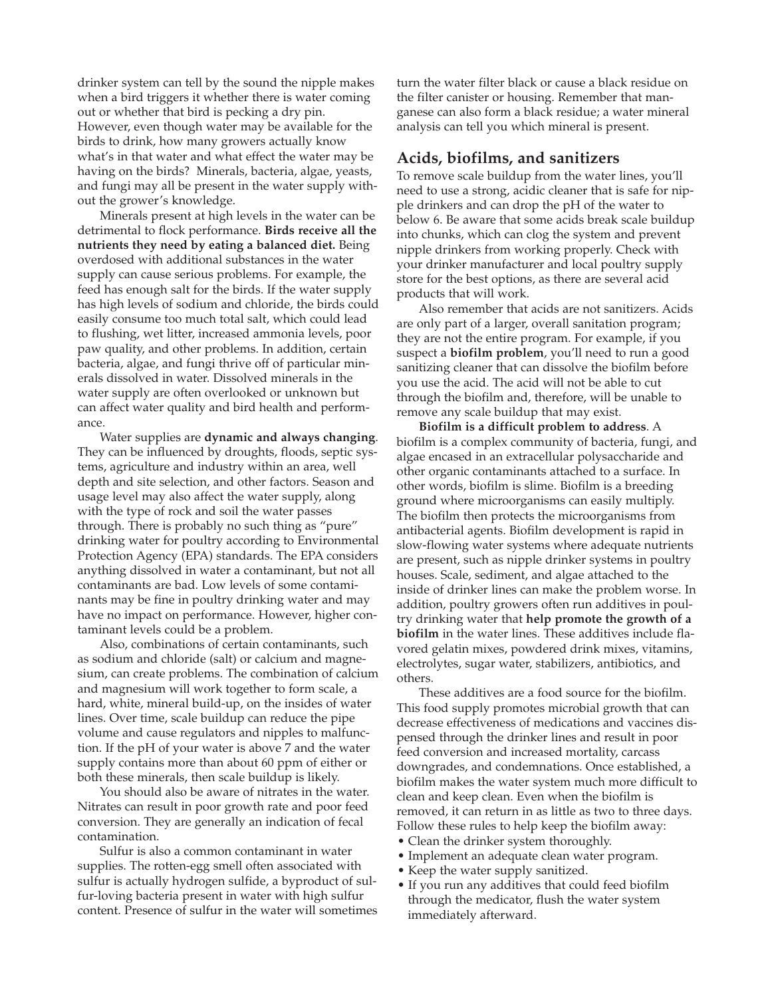drinker system can tell by the sound the nipple makes when a bird triggers it whether there is water coming out or whether that bird is pecking a dry pin. However, even though water may be available for the birds to drink, how many growers actually know what's in that water and what effect the water may be having on the birds? Minerals, bacteria, algae, yeasts, and fungi may all be present in the water supply without the grower's knowledge.

Minerals present at high levels in the water can be detrimental to flock performance. **Birds receive all the nutrients they need by eating a balanced diet.** Being overdosed with additional substances in the water supply can cause serious problems. For example, the feed has enough salt for the birds. If the water supply has high levels of sodium and chloride, the birds could easily consume too much total salt, which could lead to flushing, wet litter, increased ammonia levels, poor paw quality, and other problems. In addition, certain bacteria, algae, and fungi thrive off of particular minerals dissolved in water. Dissolved minerals in the water supply are often overlooked or unknown but can affect water quality and bird health and performance.

Water supplies are **dynamic and always changing**. They can be influenced by droughts, floods, septic systems, agriculture and industry within an area, well depth and site selection, and other factors. Season and usage level may also affect the water supply, along with the type of rock and soil the water passes through. There is probably no such thing as "pure" drinking water for poultry according to Environmental Protection Agency (EPA) standards. The EPA considers anything dissolved in water a contaminant, but not all contaminants are bad. Low levels of some contaminants may be fine in poultry drinking water and may have no impact on performance. However, higher contaminant levels could be a problem.

Also, combinations of certain contaminants, such as sodium and chloride (salt) or calcium and magnesium, can create problems. The combination of calcium and magnesium will work together to form scale, a hard, white, mineral build-up, on the insides of water lines. Over time, scale buildup can reduce the pipe volume and cause regulators and nipples to malfunction. If the pH of your water is above 7 and the water supply contains more than about 60 ppm of either or both these minerals, then scale buildup is likely.

You should also be aware of nitrates in the water. Nitrates can result in poor growth rate and poor feed conversion. They are generally an indication of fecal contamination.

Sulfur is also a common contaminant in water supplies. The rotten-egg smell often associated with sulfur is actually hydrogen sulfide, a byproduct of sulfur-loving bacteria present in water with high sulfur content. Presence of sulfur in the water will sometimes turn the water filter black or cause a black residue on the filter canister or housing. Remember that manganese can also form a black residue; a water mineral analysis can tell you which mineral is present.

## **Acids, biofilms, and sanitizers**

To remove scale buildup from the water lines, you'll need to use a strong, acidic cleaner that is safe for nipple drinkers and can drop the pH of the water to below 6. Be aware that some acids break scale buildup into chunks, which can clog the system and prevent nipple drinkers from working properly. Check with your drinker manufacturer and local poultry supply store for the best options, as there are several acid products that will work.

Also remember that acids are not sanitizers. Acids are only part of a larger, overall sanitation program; they are not the entire program. For example, if you suspect a **biofilm problem**, you'll need to run a good sanitizing cleaner that can dissolve the biofilm before you use the acid. The acid will not be able to cut through the biofilm and, therefore, will be unable to remove any scale buildup that may exist.

**Biofilm is a difficult problem to address**. A biofilm is a complex community of bacteria, fungi, and algae encased in an extracellular polysaccharide and other organic contaminants attached to a surface. In other words, biofilm is slime. Biofilm is a breeding ground where microorganisms can easily multiply. The biofilm then protects the microorganisms from antibacterial agents. Biofilm development is rapid in slow-flowing water systems where adequate nutrients are present, such as nipple drinker systems in poultry houses. Scale, sediment, and algae attached to the inside of drinker lines can make the problem worse. In addition, poultry growers often run additives in poultry drinking water that **help promote the growth of a biofilm** in the water lines. These additives include flavored gelatin mixes, powdered drink mixes, vitamins, electrolytes, sugar water, stabilizers, antibiotics, and others.

These additives are a food source for the biofilm. This food supply promotes microbial growth that can decrease effectiveness of medications and vaccines dispensed through the drinker lines and result in poor feed conversion and increased mortality, carcass downgrades, and condemnations. Once established, a biofilm makes the water system much more difficult to clean and keep clean. Even when the biofilm is removed, it can return in as little as two to three days. Follow these rules to help keep the biofilm away:

- Clean the drinker system thoroughly.
- Implement an adequate clean water program.
- Keep the water supply sanitized.
- If you run any additives that could feed biofilm through the medicator, flush the water system immediately afterward.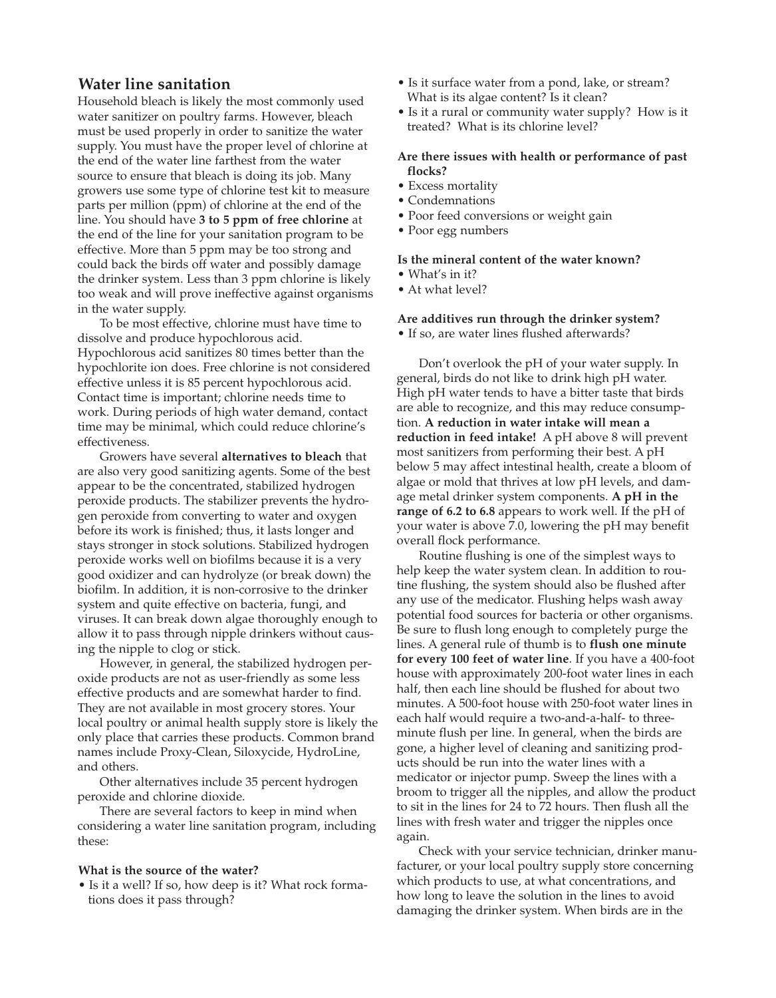## **Water line sanitation**

Household bleach is likely the most commonly used water sanitizer on poultry farms. However, bleach must be used properly in order to sanitize the water supply. You must have the proper level of chlorine at the end of the water line farthest from the water source to ensure that bleach is doing its job. Many growers use some type of chlorine test kit to measure parts per million (ppm) of chlorine at the end of the line. You should have **3 to 5 ppm of free chlorine** at the end of the line for your sanitation program to be effective. More than 5 ppm may be too strong and could back the birds off water and possibly damage the drinker system. Less than 3 ppm chlorine is likely too weak and will prove ineffective against organisms in the water supply.

To be most effective, chlorine must have time to dissolve and produce hypochlorous acid. Hypochlorous acid sanitizes 80 times better than the hypochlorite ion does. Free chlorine is not considered effective unless it is 85 percent hypochlorous acid. Contact time is important; chlorine needs time to work. During periods of high water demand, contact time may be minimal, which could reduce chlorine's effectiveness.

Growers have several **alternatives to bleach** that are also very good sanitizing agents. Some of the best appear to be the concentrated, stabilized hydrogen peroxide products. The stabilizer prevents the hydrogen peroxide from converting to water and oxygen before its work is finished; thus, it lasts longer and stays stronger in stock solutions. Stabilized hydrogen peroxide works well on biofilms because it is a very good oxidizer and can hydrolyze (or break down) the biofilm. In addition, it is non-corrosive to the drinker system and quite effective on bacteria, fungi, and viruses. It can break down algae thoroughly enough to allow it to pass through nipple drinkers without causing the nipple to clog or stick.

However, in general, the stabilized hydrogen peroxide products are not as user-friendly as some less effective products and are somewhat harder to find. They are not available in most grocery stores. Your local poultry or animal health supply store is likely the only place that carries these products. Common brand names include Proxy-Clean, Siloxycide, HydroLine, and others.

Other alternatives include 35 percent hydrogen peroxide and chlorine dioxide.

There are several factors to keep in mind when considering a water line sanitation program, including these:

### **What is the source of the water?**

• Is it a well? If so, how deep is it? What rock formations does it pass through?

- Is it surface water from a pond, lake, or stream? What is its algae content? Is it clean?
- Is it a rural or community water supply? How is it treated? What is its chlorine level?

#### **Are there issues with health or performance of past flocks?**

- Excess mortality
- Condemnations
- Poor feed conversions or weight gain
- Poor egg numbers

### **Is the mineral content of the water known?**

- What's in it?
- At what level?

## **Are additives run through the drinker system?**

• If so, are water lines flushed afterwards?

Don't overlook the pH of your water supply. In general, birds do not like to drink high pH water. High pH water tends to have a bitter taste that birds are able to recognize, and this may reduce consumption. **A reduction in water intake will mean a reduction in feed intake!** A pH above 8 will prevent most sanitizers from performing their best. A pH below 5 may affect intestinal health, create a bloom of algae or mold that thrives at low pH levels, and damage metal drinker system components. **A pH in the range of 6.2 to 6.8** appears to work well. If the pH of your water is above 7.0, lowering the pH may benefit overall flock performance.

Routine flushing is one of the simplest ways to help keep the water system clean. In addition to routine flushing, the system should also be flushed after any use of the medicator. Flushing helps wash away potential food sources for bacteria or other organisms. Be sure to flush long enough to completely purge the lines. A general rule of thumb is to **flush one minute for every 100 feet of water line**. If you have a 400-foot house with approximately 200-foot water lines in each half, then each line should be flushed for about two minutes. A 500-foot house with 250-foot water lines in each half would require a two-and-a-half- to threeminute flush per line. In general, when the birds are gone, a higher level of cleaning and sanitizing products should be run into the water lines with a medicator or injector pump. Sweep the lines with a broom to trigger all the nipples, and allow the product to sit in the lines for 24 to 72 hours. Then flush all the lines with fresh water and trigger the nipples once again.

Check with your service technician, drinker manufacturer, or your local poultry supply store concerning which products to use, at what concentrations, and how long to leave the solution in the lines to avoid damaging the drinker system. When birds are in the